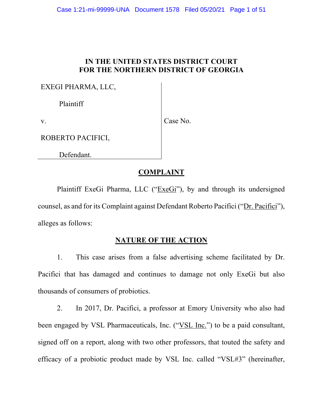## **IN THE UNITED STATES DISTRICT COURT FOR THE NORTHERN DISTRICT OF GEORGIA**

EXEGI PHARMA, LLC,

Plaintiff

v. Case No.

ROBERTO PACIFICI,

Defendant.

# **COMPLAINT**

Plaintiff ExeGi Pharma, LLC ("ExeGi"), by and through its undersigned counsel, as and for its Complaint against Defendant Roberto Pacifici ("Dr. Pacifici"), alleges as follows:

# **NATURE OF THE ACTION**

1. This case arises from a false advertising scheme facilitated by Dr. Pacifici that has damaged and continues to damage not only ExeGi but also thousands of consumers of probiotics.

2. In 2017, Dr. Pacifici, a professor at Emory University who also had been engaged by VSL Pharmaceuticals, Inc. ("VSL Inc.") to be a paid consultant, signed off on a report, along with two other professors, that touted the safety and efficacy of a probiotic product made by VSL Inc. called "VSL#3" (hereinafter,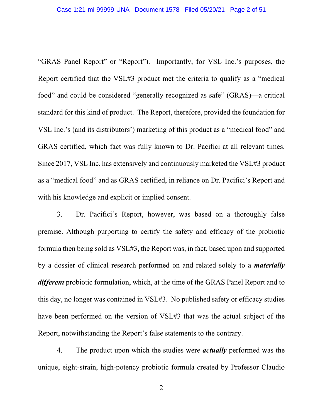"GRAS Panel Report" or "Report"). Importantly, for VSL Inc.'s purposes, the Report certified that the VSL#3 product met the criteria to qualify as a "medical food" and could be considered "generally recognized as safe" (GRAS)—a critical standard for this kind of product. The Report, therefore, provided the foundation for VSL Inc.'s (and its distributors') marketing of this product as a "medical food" and GRAS certified, which fact was fully known to Dr. Pacifici at all relevant times. Since 2017, VSL Inc. has extensively and continuously marketed the VSL#3 product as a "medical food" and as GRAS certified, in reliance on Dr. Pacifici's Report and with his knowledge and explicit or implied consent.

3. Dr. Pacifici's Report, however, was based on a thoroughly false premise. Although purporting to certify the safety and efficacy of the probiotic formula then being sold as VSL#3, the Report was, in fact, based upon and supported by a dossier of clinical research performed on and related solely to a *materially different* probiotic formulation, which, at the time of the GRAS Panel Report and to this day, no longer was contained in VSL#3. No published safety or efficacy studies have been performed on the version of VSL#3 that was the actual subject of the Report, notwithstanding the Report's false statements to the contrary.

4. The product upon which the studies were *actually* performed was the unique, eight-strain, high-potency probiotic formula created by Professor Claudio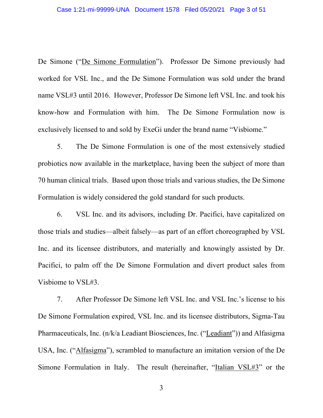De Simone ("De Simone Formulation"). Professor De Simone previously had worked for VSL Inc., and the De Simone Formulation was sold under the brand name VSL#3 until 2016. However, Professor De Simone left VSL Inc. and took his know-how and Formulation with him. The De Simone Formulation now is exclusively licensed to and sold by ExeGi under the brand name "Visbiome."

5. The De Simone Formulation is one of the most extensively studied probiotics now available in the marketplace, having been the subject of more than 70 human clinical trials. Based upon those trials and various studies, the De Simone Formulation is widely considered the gold standard for such products.

6. VSL Inc. and its advisors, including Dr. Pacifici, have capitalized on those trials and studies—albeit falsely—as part of an effort choreographed by VSL Inc. and its licensee distributors, and materially and knowingly assisted by Dr. Pacifici, to palm off the De Simone Formulation and divert product sales from Visbiome to VSL#3.

7. After Professor De Simone left VSL Inc. and VSL Inc.'s license to his De Simone Formulation expired, VSL Inc. and its licensee distributors, Sigma-Tau Pharmaceuticals, Inc. (n/k/a Leadiant Biosciences, Inc. ("Leadiant")) and Alfasigma USA, Inc. ("Alfasigma"), scrambled to manufacture an imitation version of the De Simone Formulation in Italy. The result (hereinafter, "Italian VSL#3" or the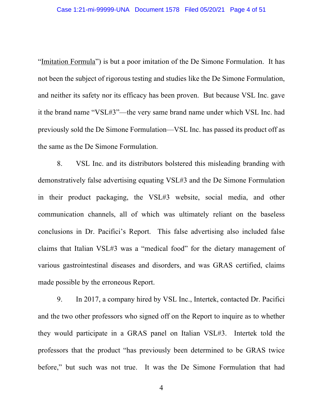"Imitation Formula") is but a poor imitation of the De Simone Formulation. It has not been the subject of rigorous testing and studies like the De Simone Formulation, and neither its safety nor its efficacy has been proven. But because VSL Inc. gave it the brand name "VSL#3"—the very same brand name under which VSL Inc. had previously sold the De Simone Formulation—VSL Inc. has passed its product off as the same as the De Simone Formulation.

8. VSL Inc. and its distributors bolstered this misleading branding with demonstratively false advertising equating VSL#3 and the De Simone Formulation in their product packaging, the VSL#3 website, social media, and other communication channels, all of which was ultimately reliant on the baseless conclusions in Dr. Pacifici's Report. This false advertising also included false claims that Italian VSL#3 was a "medical food" for the dietary management of various gastrointestinal diseases and disorders, and was GRAS certified, claims made possible by the erroneous Report.

9. In 2017, a company hired by VSL Inc., Intertek, contacted Dr. Pacifici and the two other professors who signed off on the Report to inquire as to whether they would participate in a GRAS panel on Italian VSL#3. Intertek told the professors that the product "has previously been determined to be GRAS twice before," but such was not true. It was the De Simone Formulation that had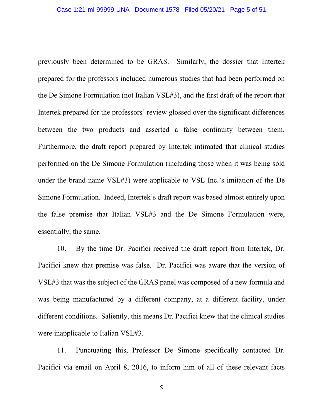previously been determined to be GRAS. Similarly, the dossier that Intertek prepared for the professors included numerous studies that had been performed on the De Simone Formulation (not Italian VSL#3), and the first draft of the report that Intertek prepared for the professors' review glossed over the significant differences between the two products and asserted a false continuity between them. Furthermore, the draft report prepared by Intertek intimated that clinical studies performed on the De Simone Formulation (including those when it was being sold under the brand name VSL#3) were applicable to VSL Inc.'s imitation of the De Simone Formulation. Indeed, Intertek's draft report was based almost entirely upon the false premise that Italian VSL#3 and the De Simone Formulation were, essentially, the same.

10. By the time Dr. Pacifici received the draft report from Intertek, Dr. Pacifici knew that premise was false. Dr. Pacifici was aware that the version of VSL#3 that was the subject of the GRAS panel was composed of a new formula and was being manufactured by a different company, at a different facility, under different conditions. Saliently, this means Dr. Pacifici knew that the clinical studies were inapplicable to Italian VSL#3.

11. Punctuating this, Professor De Simone specifically contacted Dr. Pacifici via email on April 8, 2016, to inform him of all of these relevant facts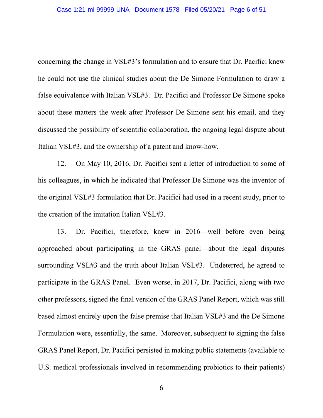concerning the change in VSL#3's formulation and to ensure that Dr. Pacifici knew he could not use the clinical studies about the De Simone Formulation to draw a false equivalence with Italian VSL#3. Dr. Pacifici and Professor De Simone spoke about these matters the week after Professor De Simone sent his email, and they discussed the possibility of scientific collaboration, the ongoing legal dispute about Italian VSL#3, and the ownership of a patent and know-how.

12. On May 10, 2016, Dr. Pacifici sent a letter of introduction to some of his colleagues, in which he indicated that Professor De Simone was the inventor of the original VSL#3 formulation that Dr. Pacifici had used in a recent study, prior to the creation of the imitation Italian VSL#3.

13. Dr. Pacifici, therefore, knew in 2016—well before even being approached about participating in the GRAS panel—about the legal disputes surrounding VSL#3 and the truth about Italian VSL#3. Undeterred, he agreed to participate in the GRAS Panel. Even worse, in 2017, Dr. Pacifici, along with two other professors, signed the final version of the GRAS Panel Report, which was still based almost entirely upon the false premise that Italian VSL#3 and the De Simone Formulation were, essentially, the same. Moreover, subsequent to signing the false GRAS Panel Report, Dr. Pacifici persisted in making public statements (available to U.S. medical professionals involved in recommending probiotics to their patients)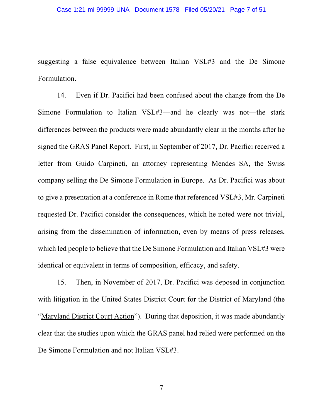suggesting a false equivalence between Italian VSL#3 and the De Simone Formulation.

14. Even if Dr. Pacifici had been confused about the change from the De Simone Formulation to Italian VSL#3—and he clearly was not—the stark differences between the products were made abundantly clear in the months after he signed the GRAS Panel Report. First, in September of 2017, Dr. Pacifici received a letter from Guido Carpineti, an attorney representing Mendes SA, the Swiss company selling the De Simone Formulation in Europe. As Dr. Pacifici was about to give a presentation at a conference in Rome that referenced VSL#3, Mr. Carpineti requested Dr. Pacifici consider the consequences, which he noted were not trivial, arising from the dissemination of information, even by means of press releases, which led people to believe that the De Simone Formulation and Italian VSL#3 were identical or equivalent in terms of composition, efficacy, and safety.

15. Then, in November of 2017, Dr. Pacifici was deposed in conjunction with litigation in the United States District Court for the District of Maryland (the "Maryland District Court Action"). During that deposition, it was made abundantly clear that the studies upon which the GRAS panel had relied were performed on the De Simone Formulation and not Italian VSL#3.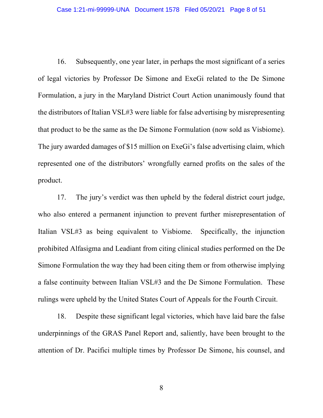16. Subsequently, one year later, in perhaps the most significant of a series of legal victories by Professor De Simone and ExeGi related to the De Simone Formulation, a jury in the Maryland District Court Action unanimously found that the distributors of Italian VSL#3 were liable for false advertising by misrepresenting that product to be the same as the De Simone Formulation (now sold as Visbiome). The jury awarded damages of \$15 million on ExeGi's false advertising claim, which represented one of the distributors' wrongfully earned profits on the sales of the product.

17. The jury's verdict was then upheld by the federal district court judge, who also entered a permanent injunction to prevent further misrepresentation of Italian VSL#3 as being equivalent to Visbiome. Specifically, the injunction prohibited Alfasigma and Leadiant from citing clinical studies performed on the De Simone Formulation the way they had been citing them or from otherwise implying a false continuity between Italian VSL#3 and the De Simone Formulation. These rulings were upheld by the United States Court of Appeals for the Fourth Circuit.

18. Despite these significant legal victories, which have laid bare the false underpinnings of the GRAS Panel Report and, saliently, have been brought to the attention of Dr. Pacifici multiple times by Professor De Simone, his counsel, and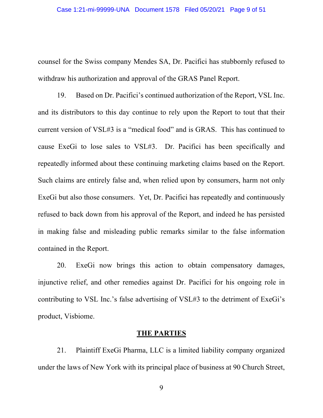counsel for the Swiss company Mendes SA, Dr. Pacifici has stubbornly refused to withdraw his authorization and approval of the GRAS Panel Report.

19. Based on Dr. Pacifici's continued authorization of the Report, VSL Inc. and its distributors to this day continue to rely upon the Report to tout that their current version of VSL#3 is a "medical food" and is GRAS. This has continued to cause ExeGi to lose sales to VSL#3. Dr. Pacifici has been specifically and repeatedly informed about these continuing marketing claims based on the Report. Such claims are entirely false and, when relied upon by consumers, harm not only ExeGi but also those consumers. Yet, Dr. Pacifici has repeatedly and continuously refused to back down from his approval of the Report, and indeed he has persisted in making false and misleading public remarks similar to the false information contained in the Report.

20. ExeGi now brings this action to obtain compensatory damages, injunctive relief, and other remedies against Dr. Pacifici for his ongoing role in contributing to VSL Inc.'s false advertising of VSL#3 to the detriment of ExeGi's product, Visbiome.

### **THE PARTIES**

21. Plaintiff ExeGi Pharma, LLC is a limited liability company organized under the laws of New York with its principal place of business at 90 Church Street,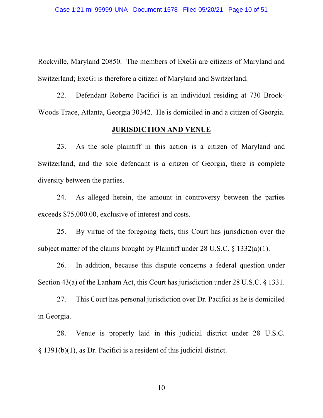Rockville, Maryland 20850. The members of ExeGi are citizens of Maryland and Switzerland; ExeGi is therefore a citizen of Maryland and Switzerland.

22. Defendant Roberto Pacifici is an individual residing at 730 Brook-Woods Trace, Atlanta, Georgia 30342. He is domiciled in and a citizen of Georgia.

#### **JURISDICTION AND VENUE**

23. As the sole plaintiff in this action is a citizen of Maryland and Switzerland, and the sole defendant is a citizen of Georgia, there is complete diversity between the parties.

24. As alleged herein, the amount in controversy between the parties exceeds \$75,000.00, exclusive of interest and costs.

25. By virtue of the foregoing facts, this Court has jurisdiction over the subject matter of the claims brought by Plaintiff under 28 U.S.C.  $\S$  1332(a)(1).

26. In addition, because this dispute concerns a federal question under Section 43(a) of the Lanham Act, this Court has jurisdiction under 28 U.S.C. § 1331.

27. This Court has personal jurisdiction over Dr. Pacifici as he is domiciled in Georgia.

28. Venue is properly laid in this judicial district under 28 U.S.C. § 1391(b)(1), as Dr. Pacifici is a resident of this judicial district.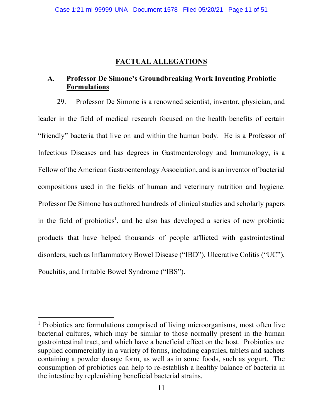### **FACTUAL ALLEGATIONS**

## **A. Professor De Simone's Groundbreaking Work Inventing Probiotic Formulations**

29. Professor De Simone is a renowned scientist, inventor, physician, and leader in the field of medical research focused on the health benefits of certain "friendly" bacteria that live on and within the human body. He is a Professor of Infectious Diseases and has degrees in Gastroenterology and Immunology, is a Fellow of the American Gastroenterology Association, and is an inventor of bacterial compositions used in the fields of human and veterinary nutrition and hygiene. Professor De Simone has authored hundreds of clinical studies and scholarly papers in the field of probiotics<sup>1</sup>, and he also has developed a series of new probiotic products that have helped thousands of people afflicted with gastrointestinal disorders, such as Inflammatory Bowel Disease ("IBD"), Ulcerative Colitis ("UC"), Pouchitis, and Irritable Bowel Syndrome ("IBS").

<sup>&</sup>lt;sup>1</sup> Probiotics are formulations comprised of living microorganisms, most often live bacterial cultures, which may be similar to those normally present in the human gastrointestinal tract, and which have a beneficial effect on the host. Probiotics are supplied commercially in a variety of forms, including capsules, tablets and sachets containing a powder dosage form, as well as in some foods, such as yogurt. The consumption of probiotics can help to re-establish a healthy balance of bacteria in the intestine by replenishing beneficial bacterial strains.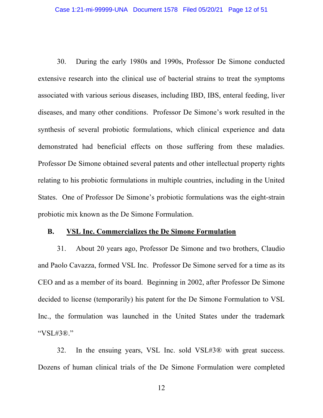30. During the early 1980s and 1990s, Professor De Simone conducted extensive research into the clinical use of bacterial strains to treat the symptoms associated with various serious diseases, including IBD, IBS, enteral feeding, liver diseases, and many other conditions. Professor De Simone's work resulted in the synthesis of several probiotic formulations, which clinical experience and data demonstrated had beneficial effects on those suffering from these maladies. Professor De Simone obtained several patents and other intellectual property rights relating to his probiotic formulations in multiple countries, including in the United States. One of Professor De Simone's probiotic formulations was the eight-strain probiotic mix known as the De Simone Formulation.

#### **B. VSL Inc. Commercializes the De Simone Formulation**

31. About 20 years ago, Professor De Simone and two brothers, Claudio and Paolo Cavazza, formed VSL Inc. Professor De Simone served for a time as its CEO and as a member of its board. Beginning in 2002, after Professor De Simone decided to license (temporarily) his patent for the De Simone Formulation to VSL Inc., the formulation was launched in the United States under the trademark "VSL#3®."

32. In the ensuing years, VSL Inc. sold VSL#3® with great success. Dozens of human clinical trials of the De Simone Formulation were completed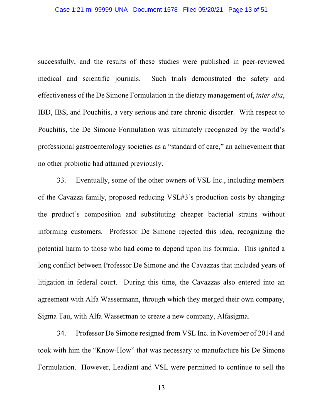successfully, and the results of these studies were published in peer-reviewed medical and scientific journals. Such trials demonstrated the safety and effectiveness of the De Simone Formulation in the dietary management of, *inter alia*, IBD, IBS, and Pouchitis, a very serious and rare chronic disorder. With respect to Pouchitis, the De Simone Formulation was ultimately recognized by the world's professional gastroenterology societies as a "standard of care," an achievement that no other probiotic had attained previously.

33. Eventually, some of the other owners of VSL Inc., including members of the Cavazza family, proposed reducing VSL#3's production costs by changing the product's composition and substituting cheaper bacterial strains without informing customers. Professor De Simone rejected this idea, recognizing the potential harm to those who had come to depend upon his formula. This ignited a long conflict between Professor De Simone and the Cavazzas that included years of litigation in federal court. During this time, the Cavazzas also entered into an agreement with Alfa Wassermann, through which they merged their own company, Sigma Tau, with Alfa Wasserman to create a new company, Alfasigma.

34. Professor De Simone resigned from VSL Inc. in November of 2014 and took with him the "Know-How" that was necessary to manufacture his De Simone Formulation. However, Leadiant and VSL were permitted to continue to sell the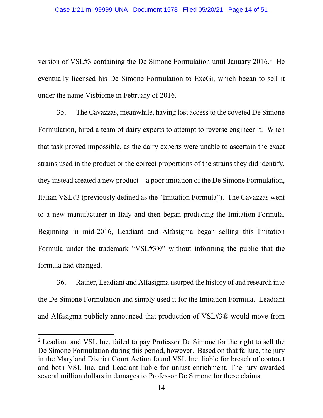version of VSL#3 containing the De Simone Formulation until January  $2016$ <sup>2</sup> He eventually licensed his De Simone Formulation to ExeGi, which began to sell it under the name Visbiome in February of 2016.

35. The Cavazzas, meanwhile, having lost access to the coveted De Simone Formulation, hired a team of dairy experts to attempt to reverse engineer it. When that task proved impossible, as the dairy experts were unable to ascertain the exact strains used in the product or the correct proportions of the strains they did identify, they instead created a new product—a poor imitation of the De Simone Formulation, Italian VSL#3 (previously defined as the "Imitation Formula"). The Cavazzas went to a new manufacturer in Italy and then began producing the Imitation Formula. Beginning in mid-2016, Leadiant and Alfasigma began selling this Imitation Formula under the trademark "VSL#3®" without informing the public that the formula had changed.

36. Rather, Leadiant and Alfasigma usurped the history of and research into the De Simone Formulation and simply used it for the Imitation Formula. Leadiant and Alfasigma publicly announced that production of VSL#3® would move from

<sup>2</sup> Leadiant and VSL Inc. failed to pay Professor De Simone for the right to sell the De Simone Formulation during this period, however. Based on that failure, the jury in the Maryland District Court Action found VSL Inc. liable for breach of contract and both VSL Inc. and Leadiant liable for unjust enrichment. The jury awarded several million dollars in damages to Professor De Simone for these claims.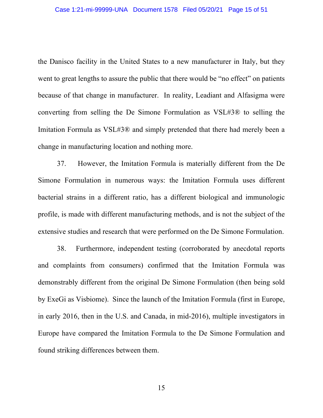the Danisco facility in the United States to a new manufacturer in Italy, but they went to great lengths to assure the public that there would be "no effect" on patients because of that change in manufacturer. In reality, Leadiant and Alfasigma were converting from selling the De Simone Formulation as VSL#3® to selling the Imitation Formula as VSL#3® and simply pretended that there had merely been a change in manufacturing location and nothing more.

37. However, the Imitation Formula is materially different from the De Simone Formulation in numerous ways: the Imitation Formula uses different bacterial strains in a different ratio, has a different biological and immunologic profile, is made with different manufacturing methods, and is not the subject of the extensive studies and research that were performed on the De Simone Formulation.

38. Furthermore, independent testing (corroborated by anecdotal reports and complaints from consumers) confirmed that the Imitation Formula was demonstrably different from the original De Simone Formulation (then being sold by ExeGi as Visbiome). Since the launch of the Imitation Formula (first in Europe, in early 2016, then in the U.S. and Canada, in mid-2016), multiple investigators in Europe have compared the Imitation Formula to the De Simone Formulation and found striking differences between them.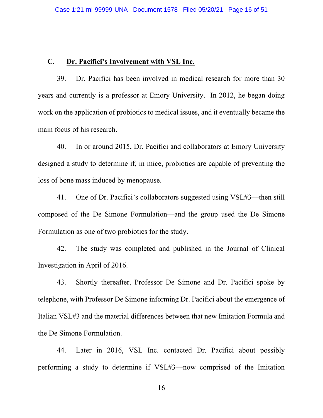### **C. Dr. Pacifici's Involvement with VSL Inc.**

39. Dr. Pacifici has been involved in medical research for more than 30 years and currently is a professor at Emory University. In 2012, he began doing work on the application of probiotics to medical issues, and it eventually became the main focus of his research.

40. In or around 2015, Dr. Pacifici and collaborators at Emory University designed a study to determine if, in mice, probiotics are capable of preventing the loss of bone mass induced by menopause.

41. One of Dr. Pacifici's collaborators suggested using VSL#3—then still composed of the De Simone Formulation—and the group used the De Simone Formulation as one of two probiotics for the study.

42. The study was completed and published in the Journal of Clinical Investigation in April of 2016.

43. Shortly thereafter, Professor De Simone and Dr. Pacifici spoke by telephone, with Professor De Simone informing Dr. Pacifici about the emergence of Italian VSL#3 and the material differences between that new Imitation Formula and the De Simone Formulation.

44. Later in 2016, VSL Inc. contacted Dr. Pacifici about possibly performing a study to determine if VSL#3—now comprised of the Imitation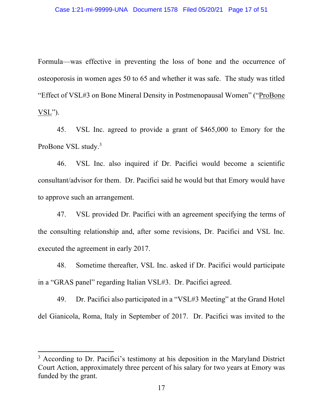Formula—was effective in preventing the loss of bone and the occurrence of osteoporosis in women ages 50 to 65 and whether it was safe. The study was titled "Effect of VSL#3 on Bone Mineral Density in Postmenopausal Women" ("ProBone  $VSL$ ").

45. VSL Inc. agreed to provide a grant of \$465,000 to Emory for the ProBone VSL study.3

46. VSL Inc. also inquired if Dr. Pacifici would become a scientific consultant/advisor for them. Dr. Pacifici said he would but that Emory would have to approve such an arrangement.

47. VSL provided Dr. Pacifici with an agreement specifying the terms of the consulting relationship and, after some revisions, Dr. Pacifici and VSL Inc. executed the agreement in early 2017.

48. Sometime thereafter, VSL Inc. asked if Dr. Pacifici would participate in a "GRAS panel" regarding Italian VSL#3. Dr. Pacifici agreed.

49. Dr. Pacifici also participated in a "VSL#3 Meeting" at the Grand Hotel del Gianicola, Roma, Italy in September of 2017. Dr. Pacifici was invited to the

<sup>&</sup>lt;sup>3</sup> According to Dr. Pacifici's testimony at his deposition in the Maryland District Court Action, approximately three percent of his salary for two years at Emory was funded by the grant.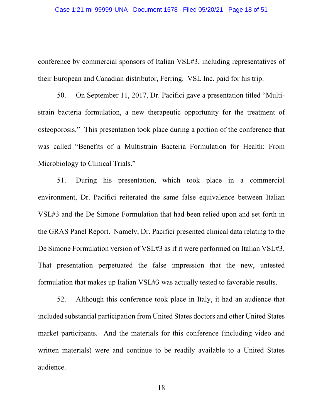conference by commercial sponsors of Italian VSL#3, including representatives of their European and Canadian distributor, Ferring. VSL Inc. paid for his trip.

50. On September 11, 2017, Dr. Pacifici gave a presentation titled "Multistrain bacteria formulation, a new therapeutic opportunity for the treatment of osteoporosis." This presentation took place during a portion of the conference that was called "Benefits of a Multistrain Bacteria Formulation for Health: From Microbiology to Clinical Trials."

51. During his presentation, which took place in a commercial environment, Dr. Pacifici reiterated the same false equivalence between Italian VSL#3 and the De Simone Formulation that had been relied upon and set forth in the GRAS Panel Report. Namely, Dr. Pacifici presented clinical data relating to the De Simone Formulation version of VSL#3 as if it were performed on Italian VSL#3. That presentation perpetuated the false impression that the new, untested formulation that makes up Italian VSL#3 was actually tested to favorable results.

52. Although this conference took place in Italy, it had an audience that included substantial participation from United States doctors and other United States market participants. And the materials for this conference (including video and written materials) were and continue to be readily available to a United States audience.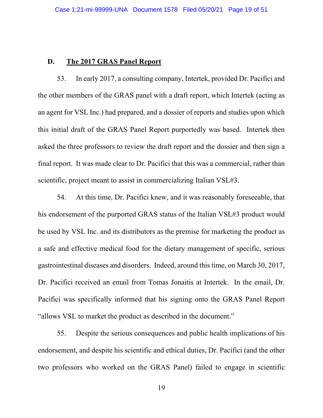### **D. The 2017 GRAS Panel Report**

53. In early 2017, a consulting company, Intertek, provided Dr. Pacifici and the other members of the GRAS panel with a draft report, which Intertek (acting as an agent for VSL Inc.) had prepared, and a dossier of reports and studies upon which this initial draft of the GRAS Panel Report purportedly was based. Intertek then asked the three professors to review the draft report and the dossier and then sign a final report. It was made clear to Dr. Pacifici that this was a commercial, rather than scientific, project meant to assist in commercializing Italian VSL#3.

54. At this time, Dr. Pacifici knew, and it was reasonably foreseeable, that his endorsement of the purported GRAS status of the Italian VSL#3 product would be used by VSL Inc. and its distributors as the premise for marketing the product as a safe and effective medical food for the dietary management of specific, serious gastrointestinal diseases and disorders. Indeed, around this time, on March 30, 2017, Dr. Pacifici received an email from Tomas Jonaitis at Intertek. In the email, Dr. Pacifici was specifically informed that his signing onto the GRAS Panel Report "allows VSL to market the product as described in the document."

55. Despite the serious consequences and public health implications of his endorsement, and despite his scientific and ethical duties, Dr. Pacifici (and the other two professors who worked on the GRAS Panel) failed to engage in scientific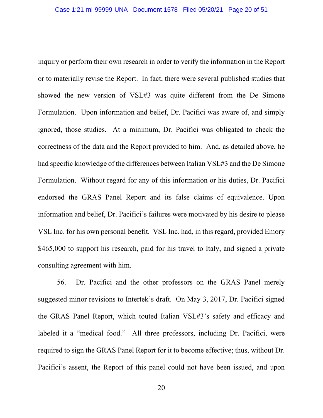inquiry or perform their own research in order to verify the information in the Report or to materially revise the Report. In fact, there were several published studies that showed the new version of VSL#3 was quite different from the De Simone Formulation. Upon information and belief, Dr. Pacifici was aware of, and simply ignored, those studies. At a minimum, Dr. Pacifici was obligated to check the correctness of the data and the Report provided to him. And, as detailed above, he had specific knowledge of the differences between Italian VSL#3 and the De Simone Formulation. Without regard for any of this information or his duties, Dr. Pacifici endorsed the GRAS Panel Report and its false claims of equivalence. Upon information and belief, Dr. Pacifici's failures were motivated by his desire to please VSL Inc. for his own personal benefit. VSL Inc. had, in this regard, provided Emory \$465,000 to support his research, paid for his travel to Italy, and signed a private consulting agreement with him.

56. Dr. Pacifici and the other professors on the GRAS Panel merely suggested minor revisions to Intertek's draft. On May 3, 2017, Dr. Pacifici signed the GRAS Panel Report, which touted Italian VSL#3's safety and efficacy and labeled it a "medical food." All three professors, including Dr. Pacifici, were required to sign the GRAS Panel Report for it to become effective; thus, without Dr. Pacifici's assent, the Report of this panel could not have been issued, and upon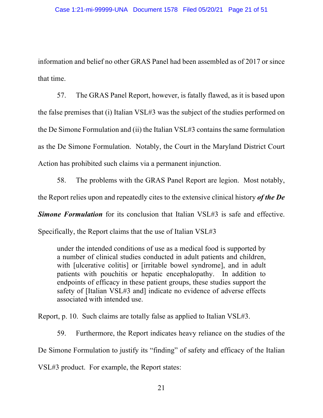information and belief no other GRAS Panel had been assembled as of 2017 or since that time.

57. The GRAS Panel Report, however, is fatally flawed, as it is based upon the false premises that (i) Italian VSL#3 was the subject of the studies performed on the De Simone Formulation and (ii) the Italian VSL#3 contains the same formulation as the De Simone Formulation. Notably, the Court in the Maryland District Court Action has prohibited such claims via a permanent injunction.

58. The problems with the GRAS Panel Report are legion. Most notably, the Report relies upon and repeatedly cites to the extensive clinical history *of the De*  **Simone Formulation** for its conclusion that Italian VSL#3 is safe and effective.

Specifically, the Report claims that the use of Italian VSL#3

under the intended conditions of use as a medical food is supported by a number of clinical studies conducted in adult patients and children, with [ulcerative colitis] or [irritable bowel syndrome], and in adult patients with pouchitis or hepatic encephalopathy. In addition to endpoints of efficacy in these patient groups, these studies support the safety of [Italian VSL#3 and] indicate no evidence of adverse effects associated with intended use.

Report, p. 10. Such claims are totally false as applied to Italian VSL#3.

59. Furthermore, the Report indicates heavy reliance on the studies of the De Simone Formulation to justify its "finding" of safety and efficacy of the Italian VSL#3 product. For example, the Report states: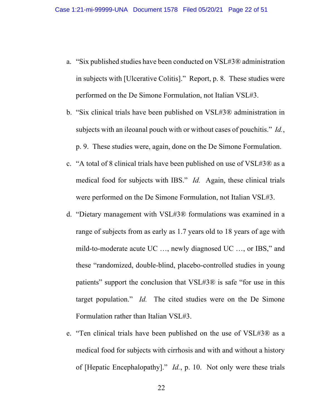- a. "Six published studies have been conducted on VSL#3® administration in subjects with [Ulcerative Colitis]." Report, p. 8. These studies were performed on the De Simone Formulation, not Italian VSL#3.
- b. "Six clinical trials have been published on VSL#3® administration in subjects with an ileoanal pouch with or without cases of pouchitis." *Id.*, p. 9. These studies were, again, done on the De Simone Formulation.
- c. "A total of 8 clinical trials have been published on use of VSL#3® as a medical food for subjects with IBS." *Id.* Again, these clinical trials were performed on the De Simone Formulation, not Italian VSL#3.
- d. "Dietary management with VSL#3® formulations was examined in a range of subjects from as early as 1.7 years old to 18 years of age with mild-to-moderate acute UC …, newly diagnosed UC …, or IBS," and these "randomized, double-blind, placebo-controlled studies in young patients" support the conclusion that VSL#3® is safe "for use in this target population." *Id.* The cited studies were on the De Simone Formulation rather than Italian VSL#3.
- e. "Ten clinical trials have been published on the use of VSL#3® as a medical food for subjects with cirrhosis and with and without a history of [Hepatic Encephalopathy]." *Id.*, p. 10. Not only were these trials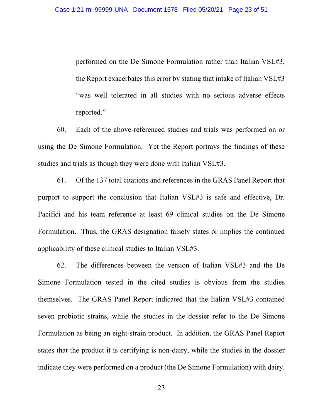performed on the De Simone Formulation rather than Italian VSL#3, the Report exacerbates this error by stating that intake of Italian VSL#3 "was well tolerated in all studies with no serious adverse effects reported."

60. Each of the above-referenced studies and trials was performed on or using the De Simone Formulation. Yet the Report portrays the findings of these studies and trials as though they were done with Italian VSL#3.

61. Of the 137 total citations and references in the GRAS Panel Report that purport to support the conclusion that Italian VSL#3 is safe and effective, Dr. Pacifici and his team reference at least 69 clinical studies on the De Simone Formulation. Thus, the GRAS designation falsely states or implies the continued applicability of these clinical studies to Italian VSL#3.

62. The differences between the version of Italian VSL#3 and the De Simone Formulation tested in the cited studies is obvious from the studies themselves. The GRAS Panel Report indicated that the Italian VSL#3 contained seven probiotic strains, while the studies in the dossier refer to the De Simone Formulation as being an eight-strain product. In addition, the GRAS Panel Report states that the product it is certifying is non-dairy, while the studies in the dossier indicate they were performed on a product (the De Simone Formulation) with dairy.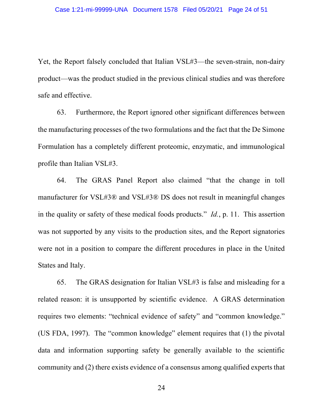Yet, the Report falsely concluded that Italian VSL#3—the seven-strain, non-dairy product—was the product studied in the previous clinical studies and was therefore safe and effective.

63. Furthermore, the Report ignored other significant differences between the manufacturing processes of the two formulations and the fact that the De Simone Formulation has a completely different proteomic, enzymatic, and immunological profile than Italian VSL#3.

64. The GRAS Panel Report also claimed "that the change in toll manufacturer for VSL#3® and VSL#3® DS does not result in meaningful changes in the quality or safety of these medical foods products." *Id.*, p. 11. This assertion was not supported by any visits to the production sites, and the Report signatories were not in a position to compare the different procedures in place in the United States and Italy.

65. The GRAS designation for Italian VSL#3 is false and misleading for a related reason: it is unsupported by scientific evidence. A GRAS determination requires two elements: "technical evidence of safety" and "common knowledge." (US FDA, 1997). The "common knowledge" element requires that (1) the pivotal data and information supporting safety be generally available to the scientific community and (2) there exists evidence of a consensus among qualified experts that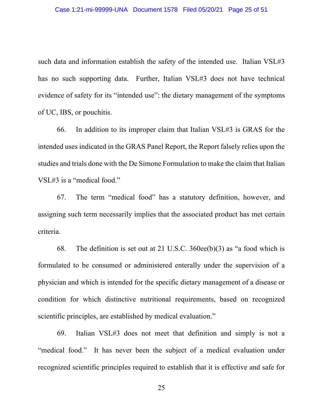such data and information establish the safety of the intended use. Italian VSL#3 has no such supporting data. Further, Italian VSL#3 does not have technical evidence of safety for its "intended use": the dietary management of the symptoms of UC, IBS, or pouchitis.

66. In addition to its improper claim that Italian VSL#3 is GRAS for the intended uses indicated in the GRAS Panel Report, the Report falsely relies upon the studies and trials done with the De Simone Formulation to make the claim that Italian VSL#3 is a "medical food."

67. The term "medical food" has a statutory definition, however, and assigning such term necessarily implies that the associated product has met certain criteria.

68. The definition is set out at 21 U.S.C. 360ee(b)(3) as "a food which is formulated to be consumed or administered enterally under the supervision of a physician and which is intended for the specific dietary management of a disease or condition for which distinctive nutritional requirements, based on recognized scientific principles, are established by medical evaluation."

69. Italian VSL#3 does not meet that definition and simply is not a "medical food." It has never been the subject of a medical evaluation under recognized scientific principles required to establish that it is effective and safe for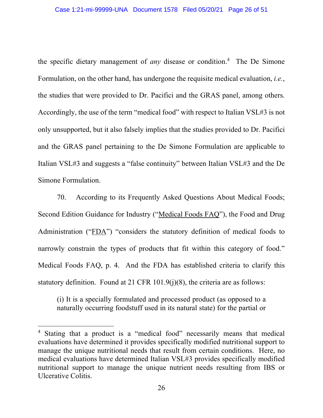the specific dietary management of *any* disease or condition.4 The De Simone Formulation, on the other hand, has undergone the requisite medical evaluation, *i.e.*, the studies that were provided to Dr. Pacifici and the GRAS panel, among others. Accordingly, the use of the term "medical food" with respect to Italian VSL#3 is not only unsupported, but it also falsely implies that the studies provided to Dr. Pacifici and the GRAS panel pertaining to the De Simone Formulation are applicable to Italian VSL#3 and suggests a "false continuity" between Italian VSL#3 and the De Simone Formulation.

70. According to its Frequently Asked Questions About Medical Foods; Second Edition Guidance for Industry ("Medical Foods FAQ"), the Food and Drug Administration ("FDA") "considers the statutory definition of medical foods to narrowly constrain the types of products that fit within this category of food." Medical Foods FAQ, p. 4. And the FDA has established criteria to clarify this statutory definition. Found at 21 CFR 101.9(j)(8), the criteria are as follows:

(i) It is a specially formulated and processed product (as opposed to a naturally occurring foodstuff used in its natural state) for the partial or

<sup>&</sup>lt;sup>4</sup> Stating that a product is a "medical food" necessarily means that medical evaluations have determined it provides specifically modified nutritional support to manage the unique nutritional needs that result from certain conditions. Here, no medical evaluations have determined Italian VSL#3 provides specifically modified nutritional support to manage the unique nutrient needs resulting from IBS or Ulcerative Colitis.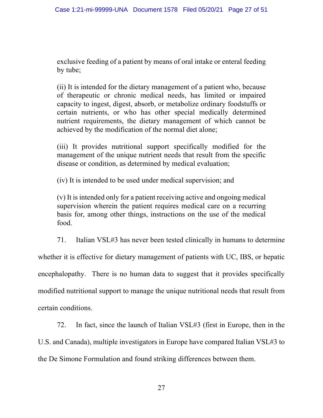exclusive feeding of a patient by means of oral intake or enteral feeding by tube;

(ii) It is intended for the dietary management of a patient who, because of therapeutic or chronic medical needs, has limited or impaired capacity to ingest, digest, absorb, or metabolize ordinary foodstuffs or certain nutrients, or who has other special medically determined nutrient requirements, the dietary management of which cannot be achieved by the modification of the normal diet alone;

(iii) It provides nutritional support specifically modified for the management of the unique nutrient needs that result from the specific disease or condition, as determined by medical evaluation;

(iv) It is intended to be used under medical supervision; and

(v) It is intended only for a patient receiving active and ongoing medical supervision wherein the patient requires medical care on a recurring basis for, among other things, instructions on the use of the medical food.

71. Italian VSL#3 has never been tested clinically in humans to determine whether it is effective for dietary management of patients with UC, IBS, or hepatic encephalopathy. There is no human data to suggest that it provides specifically modified nutritional support to manage the unique nutritional needs that result from certain conditions.

72. In fact, since the launch of Italian VSL#3 (first in Europe, then in the U.S. and Canada), multiple investigators in Europe have compared Italian VSL#3 to the De Simone Formulation and found striking differences between them.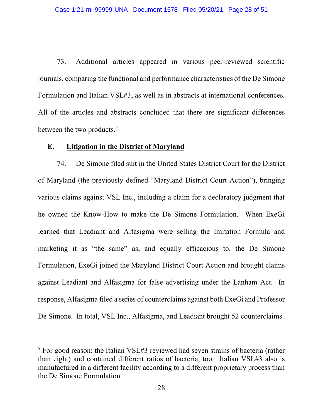73. Additional articles appeared in various peer-reviewed scientific journals, comparing the functional and performance characteristics of the De Simone Formulation and Italian VSL#3, as well as in abstracts at international conferences. All of the articles and abstracts concluded that there are significant differences between the two products.<sup>5</sup>

# **E. Litigation in the District of Maryland**

74. De Simone filed suit in the United States District Court for the District of Maryland (the previously defined "Maryland District Court Action"), bringing various claims against VSL Inc., including a claim for a declaratory judgment that he owned the Know-How to make the De Simone Formulation. When ExeGi learned that Leadiant and Alfasigma were selling the Imitation Formula and marketing it as "the same" as, and equally efficacious to, the De Simone Formulation, ExeGi joined the Maryland District Court Action and brought claims against Leadiant and Alfasigma for false advertising under the Lanham Act. In response, Alfasigma filed a series of counterclaims against both ExeGi and Professor De Simone. In total, VSL Inc., Alfasigma, and Leadiant brought 52 counterclaims.

<sup>&</sup>lt;sup>5</sup> For good reason: the Italian VSL#3 reviewed had seven strains of bacteria (rather than eight) and contained different ratios of bacteria, too. Italian VSL#3 also is manufactured in a different facility according to a different proprietary process than the De Simone Formulation.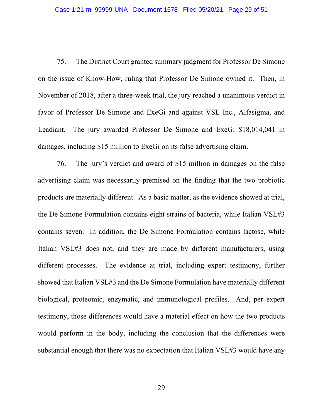75. The District Court granted summary judgment for Professor De Simone on the issue of Know-How, ruling that Professor De Simone owned it. Then, in November of 2018, after a three-week trial, the jury reached a unanimous verdict in favor of Professor De Simone and ExeGi and against VSL Inc., Alfasigma, and Leadiant. The jury awarded Professor De Simone and ExeGi \$18,014,041 in damages, including \$15 million to ExeGi on its false advertising claim.

76. The jury's verdict and award of \$15 million in damages on the false advertising claim was necessarily premised on the finding that the two probiotic products are materially different. As a basic matter, as the evidence showed at trial, the De Simone Formulation contains eight strains of bacteria, while Italian VSL#3 contains seven. In addition, the De Simone Formulation contains lactose, while Italian VSL#3 does not, and they are made by different manufacturers, using different processes. The evidence at trial, including expert testimony, further showed that Italian VSL#3 and the De Simone Formulation have materially different biological, proteomic, enzymatic, and immunological profiles. And, per expert testimony, those differences would have a material effect on how the two products would perform in the body, including the conclusion that the differences were substantial enough that there was no expectation that Italian VSL#3 would have any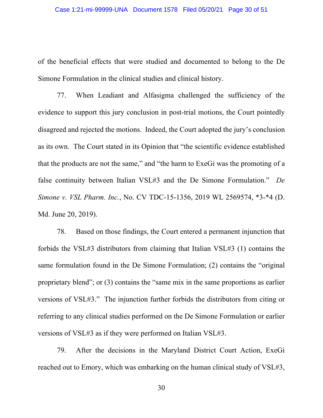of the beneficial effects that were studied and documented to belong to the De Simone Formulation in the clinical studies and clinical history.

77. When Leadiant and Alfasigma challenged the sufficiency of the evidence to support this jury conclusion in post-trial motions, the Court pointedly disagreed and rejected the motions. Indeed, the Court adopted the jury's conclusion as its own. The Court stated in its Opinion that "the scientific evidence established that the products are not the same," and "the harm to ExeGi was the promoting of a false continuity between Italian VSL#3 and the De Simone Formulation." *De Simone v. VSL Pharm. Inc.*, No. CV TDC-15-1356, 2019 WL 2569574, \*3-\*4 (D. Md. June 20, 2019).

78. Based on those findings, the Court entered a permanent injunction that forbids the VSL#3 distributors from claiming that Italian VSL#3 (1) contains the same formulation found in the De Simone Formulation; (2) contains the "original proprietary blend"; or (3) contains the "same mix in the same proportions as earlier versions of VSL#3." The injunction further forbids the distributors from citing or referring to any clinical studies performed on the De Simone Formulation or earlier versions of VSL#3 as if they were performed on Italian VSL#3.

79. After the decisions in the Maryland District Court Action, ExeGi reached out to Emory, which was embarking on the human clinical study of VSL#3,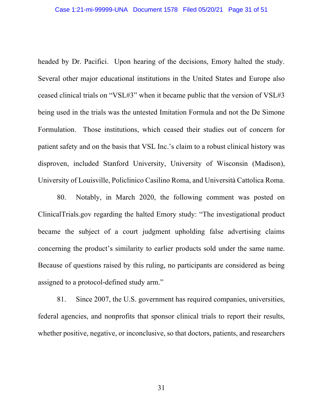headed by Dr. Pacifici. Upon hearing of the decisions, Emory halted the study. Several other major educational institutions in the United States and Europe also ceased clinical trials on "VSL#3" when it became public that the version of VSL#3 being used in the trials was the untested Imitation Formula and not the De Simone Formulation. Those institutions, which ceased their studies out of concern for patient safety and on the basis that VSL Inc.'s claim to a robust clinical history was disproven, included Stanford University, University of Wisconsin (Madison), University of Louisville, Policlinico Casilino Roma, and Università Cattolica Roma.

80. Notably, in March 2020, the following comment was posted on ClinicalTrials.gov regarding the halted Emory study: "The investigational product became the subject of a court judgment upholding false advertising claims concerning the product's similarity to earlier products sold under the same name. Because of questions raised by this ruling, no participants are considered as being assigned to a protocol-defined study arm."

81. Since 2007, the U.S. government has required companies, universities, federal agencies, and nonprofits that sponsor clinical trials to report their results, whether positive, negative, or inconclusive, so that doctors, patients, and researchers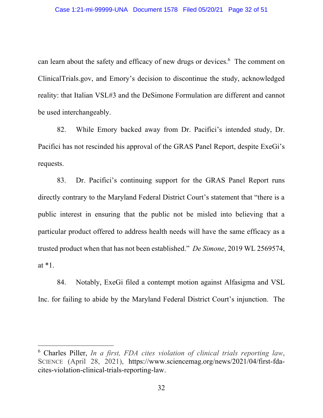can learn about the safety and efficacy of new drugs or devices.<sup>6</sup> The comment on ClinicalTrials.gov, and Emory's decision to discontinue the study, acknowledged reality: that Italian VSL#3 and the DeSimone Formulation are different and cannot be used interchangeably.

82. While Emory backed away from Dr. Pacifici's intended study, Dr. Pacifici has not rescinded his approval of the GRAS Panel Report, despite ExeGi's requests.

83. Dr. Pacifici's continuing support for the GRAS Panel Report runs directly contrary to the Maryland Federal District Court's statement that "there is a public interest in ensuring that the public not be misled into believing that a particular product offered to address health needs will have the same efficacy as a trusted product when that has not been established." *De Simone*, 2019 WL 2569574, at \*1.

84. Notably, ExeGi filed a contempt motion against Alfasigma and VSL Inc. for failing to abide by the Maryland Federal District Court's injunction. The

<sup>6</sup> Charles Piller, *In a first, FDA cites violation of clinical trials reporting law*, SCIENCE (April 28, 2021), https://www.sciencemag.org/news/2021/04/first-fdacites-violation-clinical-trials-reporting-law.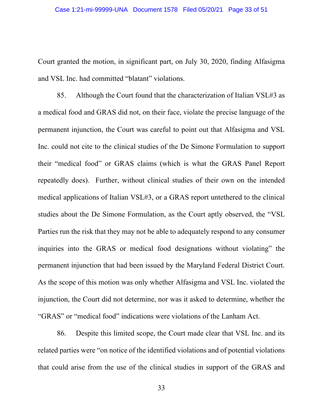Court granted the motion, in significant part, on July 30, 2020, finding Alfasigma and VSL Inc. had committed "blatant" violations.

85. Although the Court found that the characterization of Italian VSL#3 as a medical food and GRAS did not, on their face, violate the precise language of the permanent injunction, the Court was careful to point out that Alfasigma and VSL Inc. could not cite to the clinical studies of the De Simone Formulation to support their "medical food" or GRAS claims (which is what the GRAS Panel Report repeatedly does). Further, without clinical studies of their own on the intended medical applications of Italian VSL#3, or a GRAS report untethered to the clinical studies about the De Simone Formulation, as the Court aptly observed, the "VSL Parties run the risk that they may not be able to adequately respond to any consumer inquiries into the GRAS or medical food designations without violating" the permanent injunction that had been issued by the Maryland Federal District Court. As the scope of this motion was only whether Alfasigma and VSL Inc. violated the injunction, the Court did not determine, nor was it asked to determine, whether the "GRAS" or "medical food" indications were violations of the Lanham Act.

86. Despite this limited scope, the Court made clear that VSL Inc. and its related parties were "on notice of the identified violations and of potential violations that could arise from the use of the clinical studies in support of the GRAS and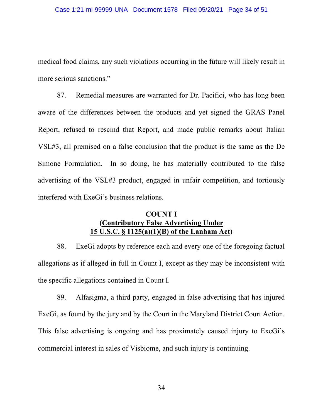medical food claims, any such violations occurring in the future will likely result in more serious sanctions."

87. Remedial measures are warranted for Dr. Pacifici, who has long been aware of the differences between the products and yet signed the GRAS Panel Report, refused to rescind that Report, and made public remarks about Italian VSL#3, all premised on a false conclusion that the product is the same as the De Simone Formulation. In so doing, he has materially contributed to the false advertising of the VSL#3 product, engaged in unfair competition, and tortiously interfered with ExeGi's business relations.

## **COUNT I (Contributory False Advertising Under 15 U.S.C. § 1125(a)(1)(B) of the Lanham Act)**

88. ExeGi adopts by reference each and every one of the foregoing factual allegations as if alleged in full in Count I, except as they may be inconsistent with the specific allegations contained in Count I.

89. Alfasigma, a third party, engaged in false advertising that has injured ExeGi, as found by the jury and by the Court in the Maryland District Court Action. This false advertising is ongoing and has proximately caused injury to ExeGi's commercial interest in sales of Visbiome, and such injury is continuing.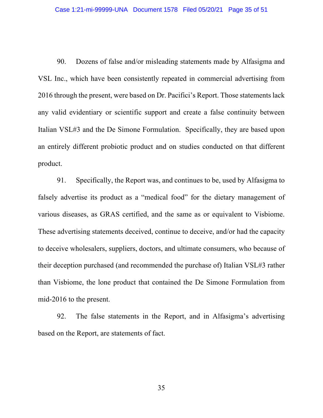90. Dozens of false and/or misleading statements made by Alfasigma and VSL Inc., which have been consistently repeated in commercial advertising from 2016 through the present, were based on Dr. Pacifici's Report. Those statements lack any valid evidentiary or scientific support and create a false continuity between Italian VSL#3 and the De Simone Formulation. Specifically, they are based upon an entirely different probiotic product and on studies conducted on that different product.

91. Specifically, the Report was, and continues to be, used by Alfasigma to falsely advertise its product as a "medical food" for the dietary management of various diseases, as GRAS certified, and the same as or equivalent to Visbiome. These advertising statements deceived, continue to deceive, and/or had the capacity to deceive wholesalers, suppliers, doctors, and ultimate consumers, who because of their deception purchased (and recommended the purchase of) Italian VSL#3 rather than Visbiome, the lone product that contained the De Simone Formulation from mid-2016 to the present.

92. The false statements in the Report, and in Alfasigma's advertising based on the Report, are statements of fact.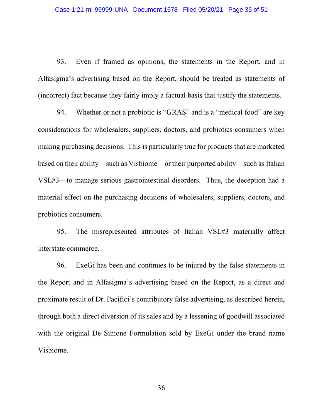93. Even if framed as opinions, the statements in the Report, and in Alfasigma's advertising based on the Report, should be treated as statements of (incorrect) fact because they fairly imply a factual basis that justify the statements.

94. Whether or not a probiotic is "GRAS" and is a "medical food" are key considerations for wholesalers, suppliers, doctors, and probiotics consumers when making purchasing decisions. This is particularly true for products that are marketed based on their ability—such as Visbiome—or their purported ability—such as Italian VSL#3—to manage serious gastrointestinal disorders. Thus, the deception had a material effect on the purchasing decisions of wholesalers, suppliers, doctors, and probiotics consumers.

95. The misrepresented attributes of Italian VSL#3 materially affect interstate commerce.

96. ExeGi has been and continues to be injured by the false statements in the Report and in Alfasigma's advertising based on the Report, as a direct and proximate result of Dr. Pacifici's contributory false advertising, as described herein, through both a direct diversion of its sales and by a lessening of goodwill associated with the original De Simone Formulation sold by ExeGi under the brand name Visbiome.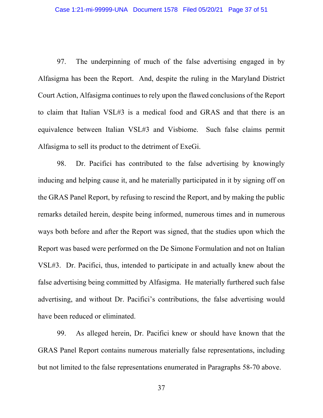97. The underpinning of much of the false advertising engaged in by Alfasigma has been the Report. And, despite the ruling in the Maryland District Court Action, Alfasigma continues to rely upon the flawed conclusions of the Report to claim that Italian VSL#3 is a medical food and GRAS and that there is an equivalence between Italian VSL#3 and Visbiome. Such false claims permit Alfasigma to sell its product to the detriment of ExeGi.

98. Dr. Pacifici has contributed to the false advertising by knowingly inducing and helping cause it, and he materially participated in it by signing off on the GRAS Panel Report, by refusing to rescind the Report, and by making the public remarks detailed herein, despite being informed, numerous times and in numerous ways both before and after the Report was signed, that the studies upon which the Report was based were performed on the De Simone Formulation and not on Italian VSL#3. Dr. Pacifici, thus, intended to participate in and actually knew about the false advertising being committed by Alfasigma. He materially furthered such false advertising, and without Dr. Pacifici's contributions, the false advertising would have been reduced or eliminated.

99. As alleged herein, Dr. Pacifici knew or should have known that the GRAS Panel Report contains numerous materially false representations, including but not limited to the false representations enumerated in Paragraphs 58-70 above.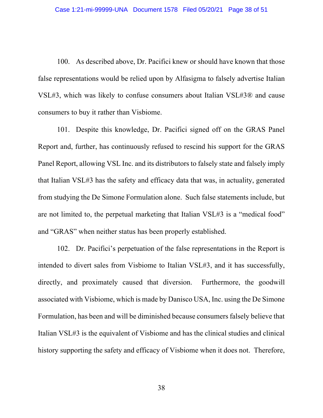100. As described above, Dr. Pacifici knew or should have known that those false representations would be relied upon by Alfasigma to falsely advertise Italian VSL#3, which was likely to confuse consumers about Italian VSL#3® and cause consumers to buy it rather than Visbiome.

101. Despite this knowledge, Dr. Pacifici signed off on the GRAS Panel Report and, further, has continuously refused to rescind his support for the GRAS Panel Report, allowing VSL Inc. and its distributors to falsely state and falsely imply that Italian VSL#3 has the safety and efficacy data that was, in actuality, generated from studying the De Simone Formulation alone. Such false statements include, but are not limited to, the perpetual marketing that Italian VSL#3 is a "medical food" and "GRAS" when neither status has been properly established.

102. Dr. Pacifici's perpetuation of the false representations in the Report is intended to divert sales from Visbiome to Italian VSL#3, and it has successfully, directly, and proximately caused that diversion. Furthermore, the goodwill associated with Visbiome, which is made by Danisco USA, Inc. using the De Simone Formulation, has been and will be diminished because consumers falsely believe that Italian VSL#3 is the equivalent of Visbiome and has the clinical studies and clinical history supporting the safety and efficacy of Visbiome when it does not. Therefore,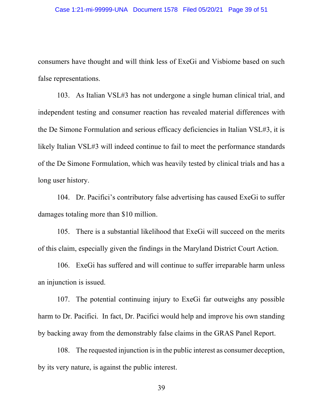consumers have thought and will think less of ExeGi and Visbiome based on such false representations.

103. As Italian VSL#3 has not undergone a single human clinical trial, and independent testing and consumer reaction has revealed material differences with the De Simone Formulation and serious efficacy deficiencies in Italian VSL#3, it is likely Italian VSL#3 will indeed continue to fail to meet the performance standards of the De Simone Formulation, which was heavily tested by clinical trials and has a long user history.

104. Dr. Pacifici's contributory false advertising has caused ExeGi to suffer damages totaling more than \$10 million.

105. There is a substantial likelihood that ExeGi will succeed on the merits of this claim, especially given the findings in the Maryland District Court Action.

106. ExeGi has suffered and will continue to suffer irreparable harm unless an injunction is issued.

107. The potential continuing injury to ExeGi far outweighs any possible harm to Dr. Pacifici. In fact, Dr. Pacifici would help and improve his own standing by backing away from the demonstrably false claims in the GRAS Panel Report.

108. The requested injunction is in the public interest as consumer deception, by its very nature, is against the public interest.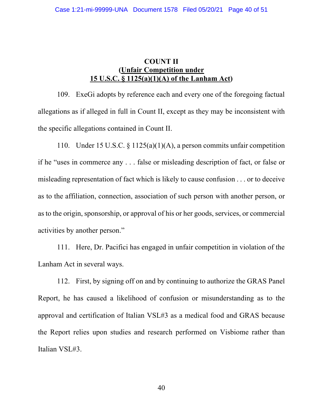## **COUNT II (Unfair Competition under 15 U.S.C. § 1125(a)(1)(A) of the Lanham Act)**

109. ExeGi adopts by reference each and every one of the foregoing factual allegations as if alleged in full in Count II, except as they may be inconsistent with the specific allegations contained in Count II.

110. Under 15 U.S.C. § 1125(a)(1)(A), a person commits unfair competition if he "uses in commerce any . . . false or misleading description of fact, or false or misleading representation of fact which is likely to cause confusion . . . or to deceive as to the affiliation, connection, association of such person with another person, or as to the origin, sponsorship, or approval of his or her goods, services, or commercial activities by another person."

111. Here, Dr. Pacifici has engaged in unfair competition in violation of the Lanham Act in several ways.

112. First, by signing off on and by continuing to authorize the GRAS Panel Report, he has caused a likelihood of confusion or misunderstanding as to the approval and certification of Italian VSL#3 as a medical food and GRAS because the Report relies upon studies and research performed on Visbiome rather than Italian VSL#3.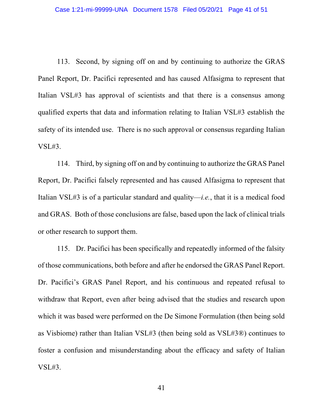113. Second, by signing off on and by continuing to authorize the GRAS Panel Report, Dr. Pacifici represented and has caused Alfasigma to represent that Italian VSL#3 has approval of scientists and that there is a consensus among qualified experts that data and information relating to Italian VSL#3 establish the safety of its intended use. There is no such approval or consensus regarding Italian VSL#3.

114. Third, by signing off on and by continuing to authorize the GRAS Panel Report, Dr. Pacifici falsely represented and has caused Alfasigma to represent that Italian VSL#3 is of a particular standard and quality—*i.e.*, that it is a medical food and GRAS. Both of those conclusions are false, based upon the lack of clinical trials or other research to support them.

115. Dr. Pacifici has been specifically and repeatedly informed of the falsity of those communications, both before and after he endorsed the GRAS Panel Report. Dr. Pacifici's GRAS Panel Report, and his continuous and repeated refusal to withdraw that Report, even after being advised that the studies and research upon which it was based were performed on the De Simone Formulation (then being sold as Visbiome) rather than Italian VSL#3 (then being sold as VSL#3®) continues to foster a confusion and misunderstanding about the efficacy and safety of Italian VSL#3.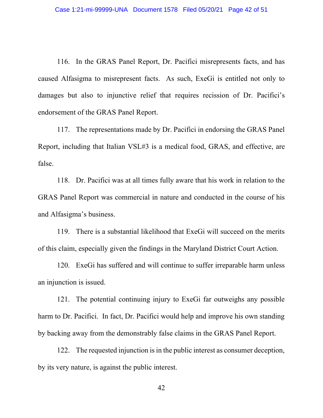116. In the GRAS Panel Report, Dr. Pacifici misrepresents facts, and has caused Alfasigma to misrepresent facts. As such, ExeGi is entitled not only to damages but also to injunctive relief that requires recission of Dr. Pacifici's endorsement of the GRAS Panel Report.

117. The representations made by Dr. Pacifici in endorsing the GRAS Panel Report, including that Italian VSL#3 is a medical food, GRAS, and effective, are false.

118. Dr. Pacifici was at all times fully aware that his work in relation to the GRAS Panel Report was commercial in nature and conducted in the course of his and Alfasigma's business.

119. There is a substantial likelihood that ExeGi will succeed on the merits of this claim, especially given the findings in the Maryland District Court Action.

120. ExeGi has suffered and will continue to suffer irreparable harm unless an injunction is issued.

121. The potential continuing injury to ExeGi far outweighs any possible harm to Dr. Pacifici. In fact, Dr. Pacifici would help and improve his own standing by backing away from the demonstrably false claims in the GRAS Panel Report.

122. The requested injunction is in the public interest as consumer deception, by its very nature, is against the public interest.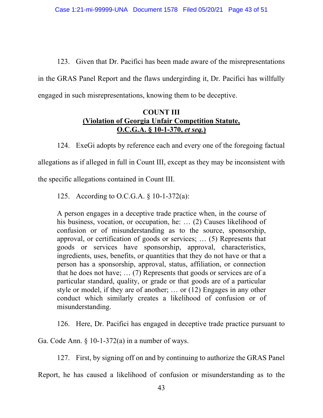123. Given that Dr. Pacifici has been made aware of the misrepresentations in the GRAS Panel Report and the flaws undergirding it, Dr. Pacifici has willfully engaged in such misrepresentations, knowing them to be deceptive.

### **COUNT III (Violation of Georgia Unfair Competition Statute, O.C.G.A. § 10-1-370,** *et seq.***)**

124. ExeGi adopts by reference each and every one of the foregoing factual allegations as if alleged in full in Count III, except as they may be inconsistent with the specific allegations contained in Count III.

125. According to O.C.G.A. § 10-1-372(a):

A person engages in a deceptive trade practice when, in the course of his business, vocation, or occupation, he: ... (2) Causes likelihood of confusion or of misunderstanding as to the source, sponsorship, approval, or certification of goods or services; … (5) Represents that goods or services have sponsorship, approval, characteristics, ingredients, uses, benefits, or quantities that they do not have or that a person has a sponsorship, approval, status, affiliation, or connection that he does not have; … (7) Represents that goods or services are of a particular standard, quality, or grade or that goods are of a particular style or model, if they are of another; … or (12) Engages in any other conduct which similarly creates a likelihood of confusion or of misunderstanding.

126. Here, Dr. Pacifici has engaged in deceptive trade practice pursuant to

Ga. Code Ann.  $\S$  10-1-372(a) in a number of ways.

127. First, by signing off on and by continuing to authorize the GRAS Panel

Report, he has caused a likelihood of confusion or misunderstanding as to the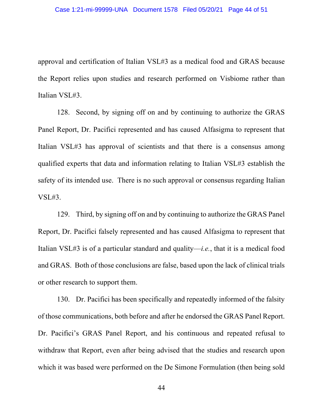approval and certification of Italian VSL#3 as a medical food and GRAS because the Report relies upon studies and research performed on Visbiome rather than Italian VSL#3.

128. Second, by signing off on and by continuing to authorize the GRAS Panel Report, Dr. Pacifici represented and has caused Alfasigma to represent that Italian VSL#3 has approval of scientists and that there is a consensus among qualified experts that data and information relating to Italian VSL#3 establish the safety of its intended use. There is no such approval or consensus regarding Italian VSL#3.

129. Third, by signing off on and by continuing to authorize the GRAS Panel Report, Dr. Pacifici falsely represented and has caused Alfasigma to represent that Italian VSL#3 is of a particular standard and quality—*i.e.*, that it is a medical food and GRAS. Both of those conclusions are false, based upon the lack of clinical trials or other research to support them.

130. Dr. Pacifici has been specifically and repeatedly informed of the falsity of those communications, both before and after he endorsed the GRAS Panel Report. Dr. Pacifici's GRAS Panel Report, and his continuous and repeated refusal to withdraw that Report, even after being advised that the studies and research upon which it was based were performed on the De Simone Formulation (then being sold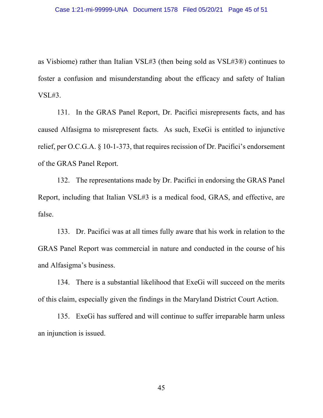as Visbiome) rather than Italian VSL#3 (then being sold as VSL#3®) continues to foster a confusion and misunderstanding about the efficacy and safety of Italian VSL#3.

131. In the GRAS Panel Report, Dr. Pacifici misrepresents facts, and has caused Alfasigma to misrepresent facts. As such, ExeGi is entitled to injunctive relief, per O.C.G.A. § 10-1-373, that requires recission of Dr. Pacifici's endorsement of the GRAS Panel Report.

132. The representations made by Dr. Pacifici in endorsing the GRAS Panel Report, including that Italian VSL#3 is a medical food, GRAS, and effective, are false.

133. Dr. Pacifici was at all times fully aware that his work in relation to the GRAS Panel Report was commercial in nature and conducted in the course of his and Alfasigma's business.

134. There is a substantial likelihood that ExeGi will succeed on the merits of this claim, especially given the findings in the Maryland District Court Action.

135. ExeGi has suffered and will continue to suffer irreparable harm unless an injunction is issued.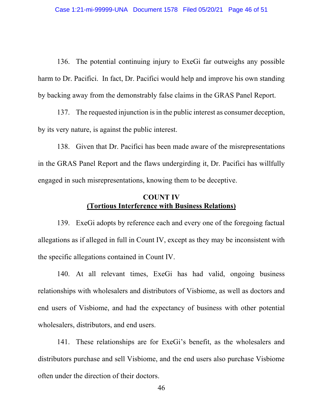136. The potential continuing injury to ExeGi far outweighs any possible harm to Dr. Pacifici. In fact, Dr. Pacifici would help and improve his own standing by backing away from the demonstrably false claims in the GRAS Panel Report.

137. The requested injunction is in the public interest as consumer deception, by its very nature, is against the public interest.

138. Given that Dr. Pacifici has been made aware of the misrepresentations in the GRAS Panel Report and the flaws undergirding it, Dr. Pacifici has willfully engaged in such misrepresentations, knowing them to be deceptive.

### **COUNT IV (Tortious Interference with Business Relations)**

139. ExeGi adopts by reference each and every one of the foregoing factual allegations as if alleged in full in Count IV, except as they may be inconsistent with the specific allegations contained in Count IV.

140. At all relevant times, ExeGi has had valid, ongoing business relationships with wholesalers and distributors of Visbiome, as well as doctors and end users of Visbiome, and had the expectancy of business with other potential wholesalers, distributors, and end users.

141. These relationships are for ExeGi's benefit, as the wholesalers and distributors purchase and sell Visbiome, and the end users also purchase Visbiome often under the direction of their doctors.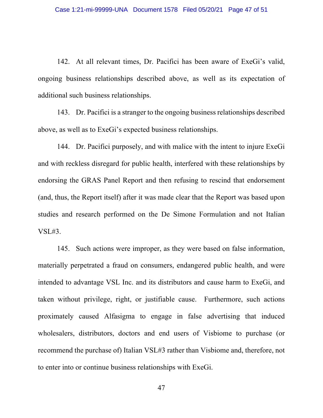142. At all relevant times, Dr. Pacifici has been aware of ExeGi's valid, ongoing business relationships described above, as well as its expectation of additional such business relationships.

143. Dr. Pacifici is a stranger to the ongoing business relationships described above, as well as to ExeGi's expected business relationships.

144. Dr. Pacifici purposely, and with malice with the intent to injure ExeGi and with reckless disregard for public health, interfered with these relationships by endorsing the GRAS Panel Report and then refusing to rescind that endorsement (and, thus, the Report itself) after it was made clear that the Report was based upon studies and research performed on the De Simone Formulation and not Italian VSL#3.

145. Such actions were improper, as they were based on false information, materially perpetrated a fraud on consumers, endangered public health, and were intended to advantage VSL Inc. and its distributors and cause harm to ExeGi, and taken without privilege, right, or justifiable cause. Furthermore, such actions proximately caused Alfasigma to engage in false advertising that induced wholesalers, distributors, doctors and end users of Visbiome to purchase (or recommend the purchase of) Italian VSL#3 rather than Visbiome and, therefore, not to enter into or continue business relationships with ExeGi.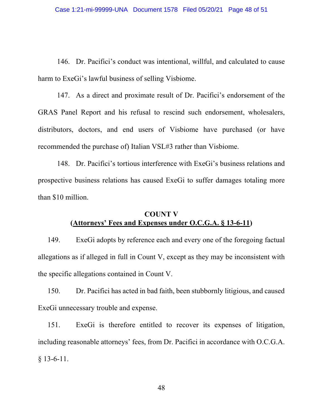146. Dr. Pacifici's conduct was intentional, willful, and calculated to cause harm to ExeGi's lawful business of selling Visbiome.

147. As a direct and proximate result of Dr. Pacifici's endorsement of the GRAS Panel Report and his refusal to rescind such endorsement, wholesalers, distributors, doctors, and end users of Visbiome have purchased (or have recommended the purchase of) Italian VSL#3 rather than Visbiome.

148. Dr. Pacifici's tortious interference with ExeGi's business relations and prospective business relations has caused ExeGi to suffer damages totaling more than \$10 million.

### **COUNT V (Attorneys' Fees and Expenses under O.C.G.A. § 13-6-11)**

149. ExeGi adopts by reference each and every one of the foregoing factual allegations as if alleged in full in Count V, except as they may be inconsistent with the specific allegations contained in Count V.

150. Dr. Pacifici has acted in bad faith, been stubbornly litigious, and caused ExeGi unnecessary trouble and expense.

151. ExeGi is therefore entitled to recover its expenses of litigation, including reasonable attorneys' fees, from Dr. Pacifici in accordance with O.C.G.A. § 13-6-11.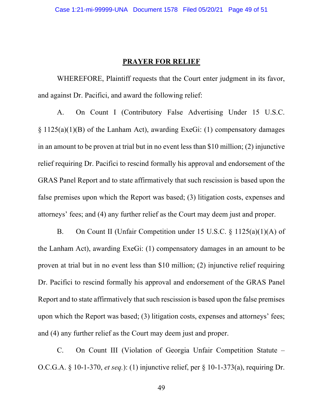#### **PRAYER FOR RELIEF**

WHEREFORE, Plaintiff requests that the Court enter judgment in its favor, and against Dr. Pacifici, and award the following relief:

A. On Count I (Contributory False Advertising Under 15 U.S.C. § 1125(a)(1)(B) of the Lanham Act), awarding ExeGi: (1) compensatory damages in an amount to be proven at trial but in no event less than \$10 million; (2) injunctive relief requiring Dr. Pacifici to rescind formally his approval and endorsement of the GRAS Panel Report and to state affirmatively that such rescission is based upon the false premises upon which the Report was based; (3) litigation costs, expenses and attorneys' fees; and (4) any further relief as the Court may deem just and proper.

B. On Count II (Unfair Competition under 15 U.S.C. § 1125(a)(1)(A) of the Lanham Act), awarding ExeGi: (1) compensatory damages in an amount to be proven at trial but in no event less than \$10 million; (2) injunctive relief requiring Dr. Pacifici to rescind formally his approval and endorsement of the GRAS Panel Report and to state affirmatively that such rescission is based upon the false premises upon which the Report was based; (3) litigation costs, expenses and attorneys' fees; and (4) any further relief as the Court may deem just and proper.

C. On Count III (Violation of Georgia Unfair Competition Statute – O.C.G.A. § 10-1-370, *et seq.*): (1) injunctive relief, per § 10-1-373(a), requiring Dr.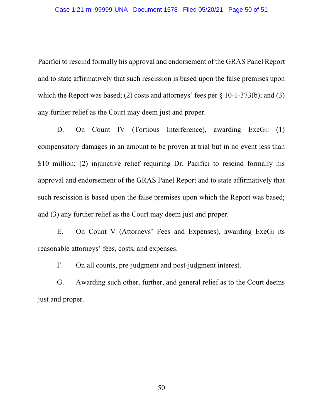Pacifici to rescind formally his approval and endorsement of the GRAS Panel Report and to state affirmatively that such rescission is based upon the false premises upon which the Report was based; (2) costs and attorneys' fees per  $\S$  10-1-373(b); and (3) any further relief as the Court may deem just and proper.

D. On Count IV (Tortious Interference), awarding ExeGi: (1) compensatory damages in an amount to be proven at trial but in no event less than \$10 million; (2) injunctive relief requiring Dr. Pacifici to rescind formally his approval and endorsement of the GRAS Panel Report and to state affirmatively that such rescission is based upon the false premises upon which the Report was based; and (3) any further relief as the Court may deem just and proper.

E. On Count V (Attorneys' Fees and Expenses), awarding ExeGi its reasonable attorneys' fees, costs, and expenses.

F. On all counts, pre-judgment and post-judgment interest.

G. Awarding such other, further, and general relief as to the Court deems just and proper.